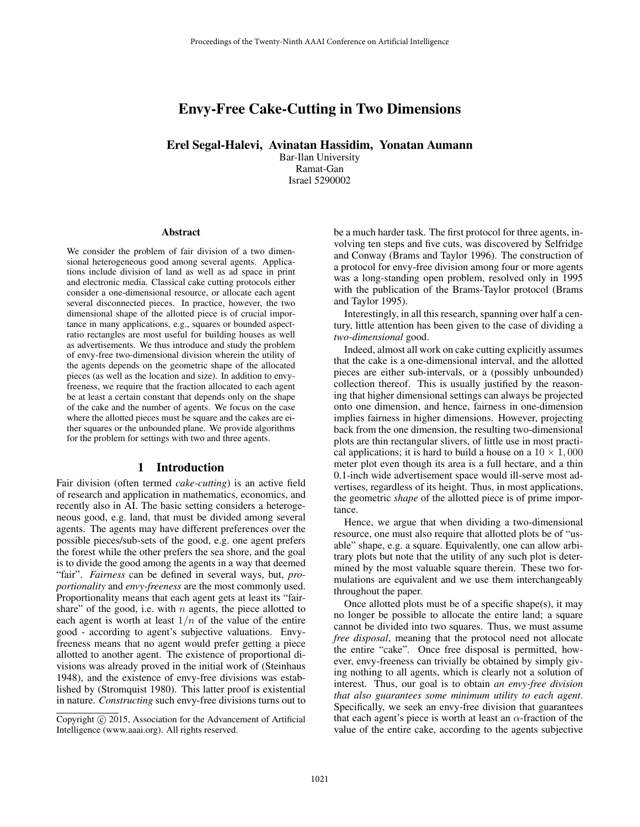# Envy-Free Cake-Cutting in Two Dimensions

Erel Segal-Halevi, Avinatan Hassidim, Yonatan Aumann

Bar-Ilan University Ramat-Gan Israel 5290002

#### Abstract

We consider the problem of fair division of a two dimensional heterogeneous good among several agents. Applications include division of land as well as ad space in print and electronic media. Classical cake cutting protocols either consider a one-dimensional resource, or allocate each agent several disconnected pieces. In practice, however, the two dimensional shape of the allotted piece is of crucial importance in many applications, e.g., squares or bounded aspectratio rectangles are most useful for building houses as well as advertisements. We thus introduce and study the problem of envy-free two-dimensional division wherein the utility of the agents depends on the geometric shape of the allocated pieces (as well as the location and size). In addition to envyfreeness, we require that the fraction allocated to each agent be at least a certain constant that depends only on the shape of the cake and the number of agents. We focus on the case where the allotted pieces must be square and the cakes are either squares or the unbounded plane. We provide algorithms for the problem for settings with two and three agents.

#### 1 Introduction

Fair division (often termed *cake-cutting*) is an active field of research and application in mathematics, economics, and recently also in AI. The basic setting considers a heterogeneous good, e.g. land, that must be divided among several agents. The agents may have different preferences over the possible pieces/sub-sets of the good, e.g. one agent prefers the forest while the other prefers the sea shore, and the goal is to divide the good among the agents in a way that deemed "fair". *Fairness* can be defined in several ways, but, *proportionality* and *envy-freeness* are the most commonly used. Proportionality means that each agent gets at least its "fairshare" of the good, i.e. with  $n$  agents, the piece allotted to each agent is worth at least  $1/n$  of the value of the entire good - according to agent's subjective valuations. Envyfreeness means that no agent would prefer getting a piece allotted to another agent. The existence of proportional divisions was already proved in the initial work of (Steinhaus 1948), and the existence of envy-free divisions was established by (Stromquist 1980). This latter proof is existential in nature. *Constructing* such envy-free divisions turns out to

be a much harder task. The first protocol for three agents, involving ten steps and five cuts, was discovered by Selfridge and Conway (Brams and Taylor 1996). The construction of a protocol for envy-free division among four or more agents was a long-standing open problem, resolved only in 1995 with the publication of the Brams-Taylor protocol (Brams and Taylor 1995).

Interestingly, in all this research, spanning over half a century, little attention has been given to the case of dividing a *two-dimensional* good.

Indeed, almost all work on cake cutting explicitly assumes that the cake is a one-dimensional interval, and the allotted pieces are either sub-intervals, or a (possibly unbounded) collection thereof. This is usually justified by the reasoning that higher dimensional settings can always be projected onto one dimension, and hence, fairness in one-dimension implies fairness in higher dimensions. However, projecting back from the one dimension, the resulting two-dimensional plots are thin rectangular slivers, of little use in most practical applications; it is hard to build a house on a  $10 \times 1,000$ meter plot even though its area is a full hectare, and a thin 0.1-inch wide advertisement space would ill-serve most advertises, regardless of its height. Thus, in most applications, the geometric *shape* of the allotted piece is of prime importance.

Hence, we argue that when dividing a two-dimensional resource, one must also require that allotted plots be of "usable" shape, e.g. a square. Equivalently, one can allow arbitrary plots but note that the utility of any such plot is determined by the most valuable square therein. These two formulations are equivalent and we use them interchangeably throughout the paper.

Once allotted plots must be of a specific shape(s), it may no longer be possible to allocate the entire land; a square cannot be divided into two squares. Thus, we must assume *free disposal*, meaning that the protocol need not allocate the entire "cake". Once free disposal is permitted, however, envy-freeness can trivially be obtained by simply giving nothing to all agents, which is clearly not a solution of interest. Thus, our goal is to obtain *an envy-free division that also guarantees some minimum utility to each agent*. Specifically, we seek an envy-free division that guarantees that each agent's piece is worth at least an  $\alpha$ -fraction of the value of the entire cake, according to the agents subjective

Copyright © 2015, Association for the Advancement of Artificial Intelligence (www.aaai.org). All rights reserved.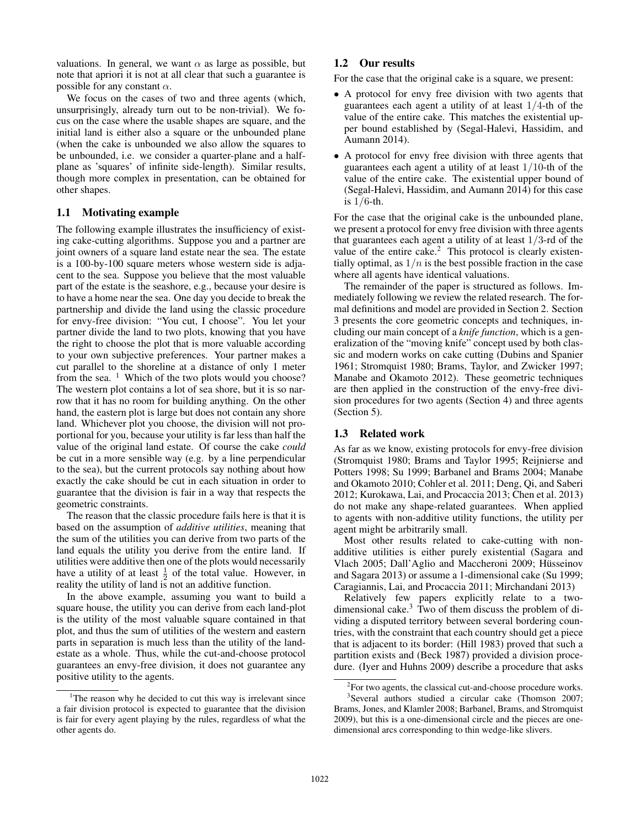valuations. In general, we want  $\alpha$  as large as possible, but note that apriori it is not at all clear that such a guarantee is possible for any constant  $\alpha$ .

We focus on the cases of two and three agents (which, unsurprisingly, already turn out to be non-trivial). We focus on the case where the usable shapes are square, and the initial land is either also a square or the unbounded plane (when the cake is unbounded we also allow the squares to be unbounded, i.e. we consider a quarter-plane and a halfplane as 'squares' of infinite side-length). Similar results, though more complex in presentation, can be obtained for other shapes.

# 1.1 Motivating example

The following example illustrates the insufficiency of existing cake-cutting algorithms. Suppose you and a partner are joint owners of a square land estate near the sea. The estate is a 100-by-100 square meters whose western side is adjacent to the sea. Suppose you believe that the most valuable part of the estate is the seashore, e.g., because your desire is to have a home near the sea. One day you decide to break the partnership and divide the land using the classic procedure for envy-free division: "You cut, I choose". You let your partner divide the land to two plots, knowing that you have the right to choose the plot that is more valuable according to your own subjective preferences. Your partner makes a cut parallel to the shoreline at a distance of only 1 meter from the sea.  $\frac{1}{1}$  Which of the two plots would you choose? The western plot contains a lot of sea shore, but it is so narrow that it has no room for building anything. On the other hand, the eastern plot is large but does not contain any shore land. Whichever plot you choose, the division will not proportional for you, because your utility is far less than half the value of the original land estate. Of course the cake *could* be cut in a more sensible way (e.g. by a line perpendicular to the sea), but the current protocols say nothing about how exactly the cake should be cut in each situation in order to guarantee that the division is fair in a way that respects the geometric constraints.

The reason that the classic procedure fails here is that it is based on the assumption of *additive utilities*, meaning that the sum of the utilities you can derive from two parts of the land equals the utility you derive from the entire land. If utilities were additive then one of the plots would necessarily have a utility of at least  $\frac{1}{2}$  of the total value. However, in reality the utility of land is not an additive function.

In the above example, assuming you want to build a square house, the utility you can derive from each land-plot is the utility of the most valuable square contained in that plot, and thus the sum of utilities of the western and eastern parts in separation is much less than the utility of the landestate as a whole. Thus, while the cut-and-choose protocol guarantees an envy-free division, it does not guarantee any positive utility to the agents.

### 1.2 Our results

For the case that the original cake is a square, we present:

- A protocol for envy free division with two agents that guarantees each agent a utility of at least  $1/4$ -th of the value of the entire cake. This matches the existential upper bound established by (Segal-Halevi, Hassidim, and Aumann 2014).
- A protocol for envy free division with three agents that guarantees each agent a utility of at least 1/10-th of the value of the entire cake. The existential upper bound of (Segal-Halevi, Hassidim, and Aumann 2014) for this case is  $1/6$ -th.

For the case that the original cake is the unbounded plane, we present a protocol for envy free division with three agents that guarantees each agent a utility of at least  $1/3$ -rd of the value of the entire cake. $<sup>2</sup>$  This protocol is clearly existen-</sup> tially optimal, as  $1/n$  is the best possible fraction in the case where all agents have identical valuations.

The remainder of the paper is structured as follows. Immediately following we review the related research. The formal definitions and model are provided in Section 2. Section 3 presents the core geometric concepts and techniques, including our main concept of a *knife function*, which is a generalization of the "moving knife" concept used by both classic and modern works on cake cutting (Dubins and Spanier 1961; Stromquist 1980; Brams, Taylor, and Zwicker 1997; Manabe and Okamoto 2012). These geometric techniques are then applied in the construction of the envy-free division procedures for two agents (Section 4) and three agents (Section 5).

#### 1.3 Related work

As far as we know, existing protocols for envy-free division (Stromquist 1980; Brams and Taylor 1995; Reijnierse and Potters 1998; Su 1999; Barbanel and Brams 2004; Manabe and Okamoto 2010; Cohler et al. 2011; Deng, Qi, and Saberi 2012; Kurokawa, Lai, and Procaccia 2013; Chen et al. 2013) do not make any shape-related guarantees. When applied to agents with non-additive utility functions, the utility per agent might be arbitrarily small.

Most other results related to cake-cutting with nonadditive utilities is either purely existential (Sagara and Vlach 2005; Dall'Aglio and Maccheroni 2009; Hüsseinov and Sagara 2013) or assume a 1-dimensional cake (Su 1999; Caragiannis, Lai, and Procaccia 2011; Mirchandani 2013)

Relatively few papers explicitly relate to a twodimensional cake.<sup>3</sup> Two of them discuss the problem of dividing a disputed territory between several bordering countries, with the constraint that each country should get a piece that is adjacent to its border: (Hill 1983) proved that such a partition exists and (Beck 1987) provided a division procedure. (Iyer and Huhns 2009) describe a procedure that asks

<sup>&</sup>lt;sup>1</sup>The reason why he decided to cut this way is irrelevant since a fair division protocol is expected to guarantee that the division is fair for every agent playing by the rules, regardless of what the other agents do.

 $2$ For two agents, the classical cut-and-choose procedure works. 3 Several authors studied a circular cake (Thomson 2007; Brams, Jones, and Klamler 2008; Barbanel, Brams, and Stromquist 2009), but this is a one-dimensional circle and the pieces are onedimensional arcs corresponding to thin wedge-like slivers.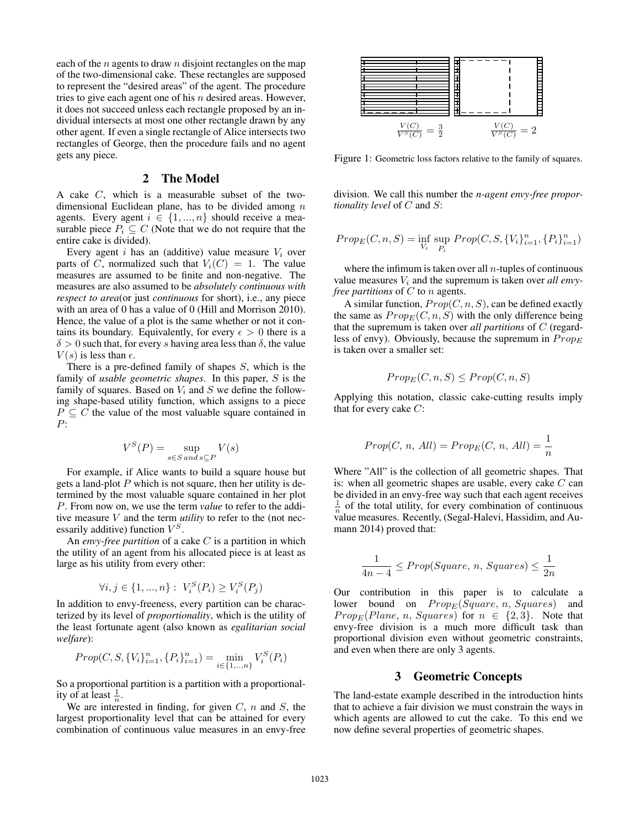each of the  $n$  agents to draw  $n$  disjoint rectangles on the map of the two-dimensional cake. These rectangles are supposed to represent the "desired areas" of the agent. The procedure tries to give each agent one of his  $n$  desired areas. However, it does not succeed unless each rectangle proposed by an individual intersects at most one other rectangle drawn by any other agent. If even a single rectangle of Alice intersects two rectangles of George, then the procedure fails and no agent gets any piece.

#### 2 The Model

A cake C, which is a measurable subset of the twodimensional Euclidean plane, has to be divided among  $n$ agents. Every agent  $i \in \{1, ..., n\}$  should receive a measurable piece  $P_i \subseteq C$  (Note that we do not require that the entire cake is divided).

Every agent i has an (additive) value measure  $V_i$  over parts of C, normalized such that  $V_i(C) = 1$ . The value measures are assumed to be finite and non-negative. The measures are also assumed to be *absolutely continuous with respect to area*(or just *continuous* for short), i.e., any piece with an area of 0 has a value of 0 (Hill and Morrison 2010). Hence, the value of a plot is the same whether or not it contains its boundary. Equivalently, for every  $\epsilon > 0$  there is a  $\delta > 0$  such that, for every s having area less than  $\delta$ , the value  $V(s)$  is less than  $\epsilon$ .

There is a pre-defined family of shapes S, which is the family of *usable geometric shapes*. In this paper, S is the family of squares. Based on  $V_i$  and  $S$  we define the following shape-based utility function, which assigns to a piece  $P \subseteq C$  the value of the most valuable square contained in P:

$$
V^S(P) = \sup_{s \in S \text{ and } s \subseteq P} V(s)
$$

For example, if Alice wants to build a square house but gets a land-plot  $P$  which is not square, then her utility is determined by the most valuable square contained in her plot P. From now on, we use the term *value* to refer to the additive measure V and the term *utility* to refer to the (not necessarily additive) function  $V^S$ .

An *envy-free partition* of a cake C is a partition in which the utility of an agent from his allocated piece is at least as large as his utility from every other:

$$
\forall i, j \in \{1, ..., n\} : V_i^S(P_i) \ge V_i^S(P_j)
$$

In addition to envy-freeness, every partition can be characterized by its level of *proportionality*, which is the utility of the least fortunate agent (also known as *egalitarian social welfare*):

$$
Prop(C, S, \{V_i\}_{i=1}^n, \{P_i\}_{i=1}^n) = \min_{i \in \{1, \ldots, n\}} V_i^S(P_i)
$$

So a proportional partition is a partition with a proportionality of at least  $\frac{1}{n}$ .

We are interested in finding, for given  $C$ ,  $n$  and  $S$ , the largest proportionality level that can be attained for every combination of continuous value measures in an envy-free



Figure 1: Geometric loss factors relative to the family of squares.

division. We call this number the *n-agent envy-free proportionality level* of C and S:

$$
Prop_E(C, n, S) = \inf_{V_i} \sup_{P_i} Prop(C, S, \{V_i\}_{i=1}^n, \{P_i\}_{i=1}^n)
$$

where the infimum is taken over all  $n$ -tuples of continuous value measures  $V_i$  and the supremum is taken over *all envyfree partitions* of C to n agents.

A similar function,  $Prop(C, n, S)$ , can be defined exactly the same as  $Prop_E(C, n, S)$  with the only difference being that the supremum is taken over *all partitions* of C (regardless of envy). Obviously, because the supremum in  $Prop_E$ is taken over a smaller set:

$$
Prop_E(C, n, S) \le Prop(C, n, S)
$$

Applying this notation, classic cake-cutting results imply that for every cake  $C$ :

$$
Prop(C, n, All) = Prop_E(C, n, All) = \frac{1}{n}
$$

Where "All" is the collection of all geometric shapes. That is: when all geometric shapes are usable, every cake  $C$  can be divided in an envy-free way such that each agent receives  $\frac{1}{n}$  of the total utility, for every combination of continuous value measures. Recently, (Segal-Halevi, Hassidim, and Aumann 2014) proved that:

$$
\frac{1}{4n-4} \le Prop(Square, n, Squares) \le \frac{1}{2n}
$$

Our contribution in this paper is to calculate a lower bound on  $Prop_E(Square, n, Squares)$  and  $Prop_E(Plane, n, Squares)$  for  $n \in \{2,3\}$ . Note that envy-free division is a much more difficult task than proportional division even without geometric constraints, and even when there are only 3 agents.

# 3 Geometric Concepts

The land-estate example described in the introduction hints that to achieve a fair division we must constrain the ways in which agents are allowed to cut the cake. To this end we now define several properties of geometric shapes.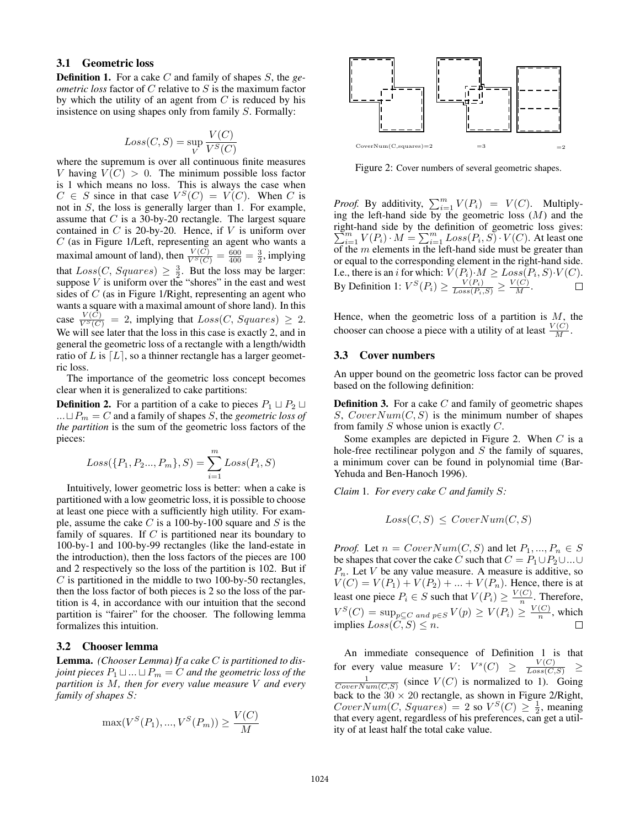# 3.1 Geometric loss

Definition 1. For a cake C and family of shapes S, the *geometric loss* factor of C relative to S is the maximum factor by which the utility of an agent from  $C$  is reduced by his insistence on using shapes only from family S. Formally:

$$
Loss(C,S) = \sup_{V} \frac{V(C)}{V^S(C)}
$$

where the supremum is over all continuous finite measures V having  $V(C) > 0$ . The minimum possible loss factor is 1 which means no loss. This is always the case when  $C \in S$  since in that case  $V^S(C) = V(C)$ . When C is not in S, the loss is generally larger than 1. For example, assume that  $C$  is a 30-by-20 rectangle. The largest square contained in  $C$  is 20-by-20. Hence, if  $V$  is uniform over C (as in Figure 1/Left, representing an agent who wants a maximal amount of land), then  $\frac{V(C)}{V^S(C)} = \frac{600}{400} = \frac{3}{2}$ , implying that  $Loss(C, Squares) \geq \frac{3}{2}$ . But the loss may be larger: suppose  $\overrightarrow{V}$  is uniform over the "shores" in the east and west sides of  $C$  (as in Figure 1/Right, representing an agent who wants a square with a maximal amount of shore land). In this case  $\frac{V(C)}{V^S(C)} = 2$ , implying that  $Loss(C, Squares) \geq 2$ . We will see later that the loss in this case is exactly 2, and in general the geometric loss of a rectangle with a length/width ratio of L is  $[L]$ , so a thinner rectangle has a larger geometric loss.

The importance of the geometric loss concept becomes clear when it is generalized to cake partitions:

**Definition 2.** For a partition of a cake to pieces  $P_1 \sqcup P_2 \sqcup$ ... $\sqcup P_m = C$  and a family of shapes S, the *geometric loss of the partition* is the sum of the geometric loss factors of the pieces:

$$
Loss({P_1, P_2..., P_m}, S) = \sum_{i=1}^{m} Loss(P_i, S)
$$

Intuitively, lower geometric loss is better: when a cake is partitioned with a low geometric loss, it is possible to choose at least one piece with a sufficiently high utility. For example, assume the cake  $C$  is a 100-by-100 square and  $S$  is the family of squares. If  $C$  is partitioned near its boundary to 100-by-1 and 100-by-99 rectangles (like the land-estate in the introduction), then the loss factors of the pieces are 100 and 2 respectively so the loss of the partition is 102. But if  $C$  is partitioned in the middle to two 100-by-50 rectangles, then the loss factor of both pieces is 2 so the loss of the partition is 4, in accordance with our intuition that the second partition is "fairer" for the chooser. The following lemma formalizes this intuition.

# 3.2 Chooser lemma

Lemma. *(Chooser Lemma) If a cake* C *is partitioned to disjoint pieces*  $P_1 \sqcup ... \sqcup P_m = C$  *and the geometric loss of the partition is* M*, then for every value measure* V *and every family of shapes* S*:*

$$
\max(V^{S}(P_1), ..., V^{S}(P_m)) \ge \frac{V(C)}{M}
$$



Figure 2: Cover numbers of several geometric shapes.

*Proof.* By additivity,  $\sum_{i=1}^{m} V(P_i) = V(C)$ . Multiplying the left-hand side by the geometric loss  $(M)$  and the right-hand side by the definition of geometric loss gives:  $\sum_{i=1}^{m} V(P_i) \cdot M = \sum_{i=1}^{m} Loss(P_i, S) \cdot V(C)$ . At least one of the  $m$  elements in the left-hand side must be greater than or equal to the corresponding element in the right-hand side. I.e., there is an *i* for which:  $V(P_i) \cdot M \ge Loss(P_i, S) \cdot V(C)$ . By Definition 1:  $V^S(P_i) \ge \frac{V(P_i)}{Loss(P_i, S)} \ge \frac{V(C)}{M}$ .

Hence, when the geometric loss of a partition is  $M$ , the chooser can choose a piece with a utility of at least  $\frac{V(C)}{M}$ .

# 3.3 Cover numbers

An upper bound on the geometric loss factor can be proved based on the following definition:

**Definition 3.** For a cake  $C$  and family of geometric shapes S,  $CoverNum(C, S)$  is the minimum number of shapes from family  $S$  whose union is exactly  $C$ .

Some examples are depicted in Figure 2. When  $C$  is a hole-free rectilinear polygon and  $S$  the family of squares, a minimum cover can be found in polynomial time (Bar-Yehuda and Ben-Hanoch 1996).

*Claim* 1*. For every cake* C *and family* S*:*

$$
Loss(C, S) \leq CoverNum(C, S)
$$

*Proof.* Let  $n = CoverNum(C, S)$  and let  $P_1, ..., P_n \in S$ be shapes that cover the cake C such that  $C = P_1 \cup P_2 \cup ... \cup$  $P_n$ . Let V be any value measure. A measure is additive, so  $V(C) = V(P_1) + V(P_2) + ... + V(P_n)$ . Hence, there is at least one piece  $P_i \in S$  such that  $V(P_i) \geq \frac{V(C)}{n}$  $\frac{C}{n}$ . Therefore,  $V^S(C) = \sup_{p \subseteq C} \mathop{and} \mathop{p \in S} V(p) \geq V(P_i) \geq \frac{V(C)}{n}$  $\frac{1}{n}$ , which implies  $Loss(C, S) \leq n$ .  $\Box$ 

An immediate consequence of Definition 1 is that for every value measure  $V: V^s(C) \ge \frac{V(C)}{Loss(C,S)}$   $\ge$  $\frac{1}{CoverNum(C,S)}$  (since  $V(C)$  is normalized to 1). Going back to the  $30 \times 20$  rectangle, as shown in Figure 2/Right,  $CoverNum(C, Squares) = 2$  so  $V^S(C) \geq \frac{1}{2}$ , meaning that every agent, regardless of his preferences, can get a utility of at least half the total cake value.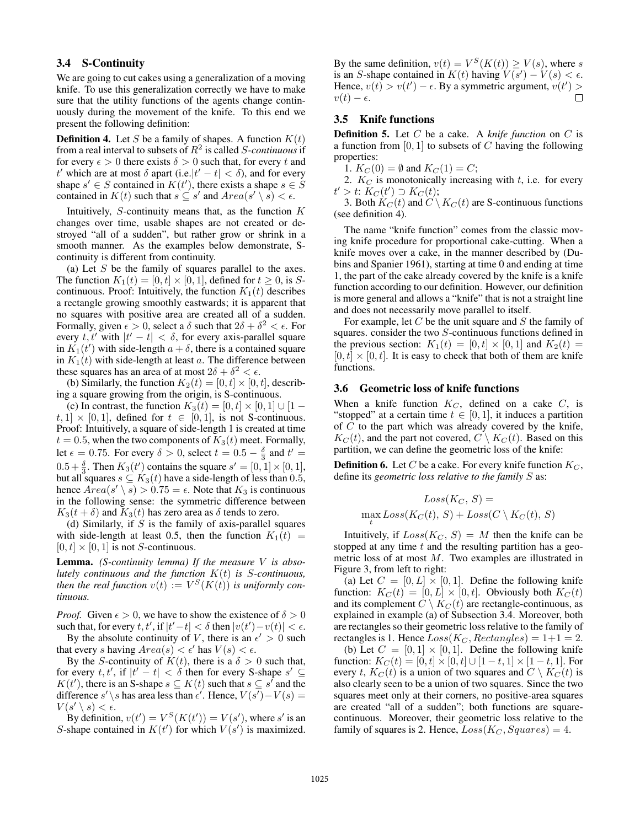# 3.4 S-Continuity

We are going to cut cakes using a generalization of a moving knife. To use this generalization correctly we have to make sure that the utility functions of the agents change continuously during the movement of the knife. To this end we present the following definition:

**Definition 4.** Let S be a family of shapes. A function  $K(t)$ from a real interval to subsets of  $R^2$  is called S-continuous if for every  $\epsilon > 0$  there exists  $\delta > 0$  such that, for every t and t' which are at most  $\delta$  apart (i.e.  $|t'-t| < \delta$ ), and for every shape  $s' \in S$  contained in  $K(t')$ , there exists a shape  $s \in S$ contained in  $K(t)$  such that  $s \subseteq s'$  and  $Area(s' \setminus \overline{s}) < \epsilon$ .

Intuitively,  $S$ -continuity means that, as the function  $K$ changes over time, usable shapes are not created or destroyed "all of a sudden", but rather grow or shrink in a smooth manner. As the examples below demonstrate, Scontinuity is different from continuity.

(a) Let  $S$  be the family of squares parallel to the axes. The function  $K_1(t) = [0, t] \times [0, 1]$ , defined for  $t \ge 0$ , is Scontinuous. Proof: Intuitively, the function  $K_1(t)$  describes a rectangle growing smoothly eastwards; it is apparent that no squares with positive area are created all of a sudden. Formally, given  $\epsilon > 0$ , select a  $\delta$  such that  $2\delta + \delta^2 < \epsilon$ . For every  $t, t'$  with  $|t' - t| < \delta$ , for every axis-parallel square in  $K_1(t')$  with side-length  $a + \delta$ , there is a contained square in  $K_1(t)$  with side-length at least a. The difference between these squares has an area of at most  $2\delta + \delta^2 < \epsilon$ .

(b) Similarly, the function  $K_2(t) = [0, t] \times [0, t]$ , describing a square growing from the origin, is S-continuous.

(c) In contrast, the function  $K_3(t) = [0, t] \times [0, 1] \cup [1$  $t, 1] \times [0, 1]$ , defined for  $t \in [0, 1]$ , is not S-continuous. Proof: Intuitively, a square of side-length 1 is created at time  $t = 0.5$ , when the two components of  $K_3(t)$  meet. Formally, let  $\epsilon = 0.75$ . For every  $\delta > 0$ , select  $t = 0.5 - \frac{\delta}{3}$  and  $t' =$  $0.5 + \frac{\delta}{3}$ . Then  $K_3(t')$  contains the square  $s' = [0, 1] \times [0, 1]$ , but all squares  $s \subseteq K_3(t)$  have a side-length of less than 0.5, hence  $\text{Area}(s' \setminus s) > 0.75 = \epsilon$ . Note that  $K_3$  is continuous in the following sense: the symmetric difference between  $K_3(t + \delta)$  and  $K_3(t)$  has zero area as  $\delta$  tends to zero.

(d) Similarly, if  $S$  is the family of axis-parallel squares with side-length at least 0.5, then the function  $K_1(t)$  =  $[0, t] \times [0, 1]$  is not *S*-continuous.

Lemma. *(S-continuity lemma) If the measure* V *is absolutely continuous and the function* K(t) *is* S*-continuous, then the real function*  $v(t) := V^S(K(t))$  *is uniformly continuous.*

*Proof.* Given  $\epsilon > 0$ , we have to show the existence of  $\delta > 0$ such that, for every t, t', if  $|t'-t| < \delta$  then  $|v(t') - v(t)| < \epsilon$ . By the absolute continuity of V, there is an  $\epsilon' > 0$  such

that every s having  $Area(s) < \epsilon'$  has  $V(s) < \epsilon$ . By the S-continuity of  $K(t)$ , there is a  $\delta > 0$  such that,

for every t, t', if  $|t'-t| < \delta$  then for every S-shape  $s' \subseteq$  $K(t')$ , there is an S-shape  $s \subseteq K(t)$  such that  $s \subseteq s'$  and the difference s' \s has area less than  $\epsilon'$ . Hence,  $V(s') - V(s) =$  $V(s' \setminus s) < \epsilon.$ 

By definition,  $v(t') = V^S(K(t')) = V(s')$ , where s' is an S-shape contained in  $K(t')$  for which  $V(s')$  is maximized.

By the same definition,  $v(t) = V^S(K(t)) \ge V(s)$ , where s is an S-shape contained in  $K(t)$  having  $V(s') - V(s) < \epsilon$ . Hence,  $v(t) > v(t') - \epsilon$ . By a symmetric argument,  $v(t') >$  $v(t) - \epsilon.$ 

# 3.5 Knife functions

Definition 5. Let C be a cake. A *knife function* on C is a function from  $[0, 1]$  to subsets of C having the following properties:

1.  $K_C(0) = \emptyset$  and  $K_C(1) = C$ ;

2.  $K_C$  is monotonically increasing with  $t$ , i.e. for every  $t' > t$ :  $K_C(t') \supset K_C(t)$ ;

3. Both  $K_C(t)$  and  $C \setminus K_C(t)$  are S-continuous functions (see definition 4).

The name "knife function" comes from the classic moving knife procedure for proportional cake-cutting. When a knife moves over a cake, in the manner described by (Dubins and Spanier 1961), starting at time 0 and ending at time 1, the part of the cake already covered by the knife is a knife function according to our definition. However, our definition is more general and allows a "knife" that is not a straight line and does not necessarily move parallel to itself.

For example, let  $C$  be the unit square and  $S$  the family of squares. consider the two S-continuous functions defined in the previous section:  $K_1(t) = [0, t] \times [0, 1]$  and  $K_2(t) =$  $[0, t] \times [0, t]$ . It is easy to check that both of them are knife functions.

#### 3.6 Geometric loss of knife functions

When a knife function  $K_C$ , defined on a cake  $C$ , is "stopped" at a certain time  $t \in [0, 1]$ , it induces a partition of  $C$  to the part which was already covered by the knife,  $K<sub>C</sub>(t)$ , and the part not covered,  $C \setminus K<sub>C</sub>(t)$ . Based on this partition, we can define the geometric loss of the knife:

**Definition 6.** Let C be a cake. For every knife function  $K_C$ , define its *geometric loss relative to the family* S as:

$$
Loss(K_C, \, S) = \\ \max_t Loss(K_C(t), \, S) + Loss(C \setminus K_C(t), \, S)
$$

Intuitively, if  $Loss(K_C, S) = M$  then the knife can be stopped at any time  $t$  and the resulting partition has a geometric loss of at most M. Two examples are illustrated in Figure 3, from left to right:

(a) Let  $C = [0, L] \times [0, 1]$ . Define the following knife function:  $K_C(t) = [0, L] \times [0, t]$ . Obviously both  $K_C(t)$ and its complement  $C \setminus K_C(t)$  are rectangle-continuous, as explained in example (a) of Subsection 3.4. Moreover, both are rectangles so their geometric loss relative to the family of rectangles is 1. Hence  $Loss(K_C, Rectangles) = 1+1 = 2$ .

(b) Let  $C = [0, 1] \times [0, 1]$ . Define the following knife function:  $K_C(t) = [0, t] \times [0, t] \cup [1 - t, 1] \times [1 - t, 1]$ . For every t,  $K_C(t)$  is a union of two squares and  $C \setminus K_C(t)$  is also clearly seen to be a union of two squares. Since the two squares meet only at their corners, no positive-area squares are created "all of a sudden"; both functions are squarecontinuous. Moreover, their geometric loss relative to the family of squares is 2. Hence,  $Loss(K_C, Squares) = 4$ .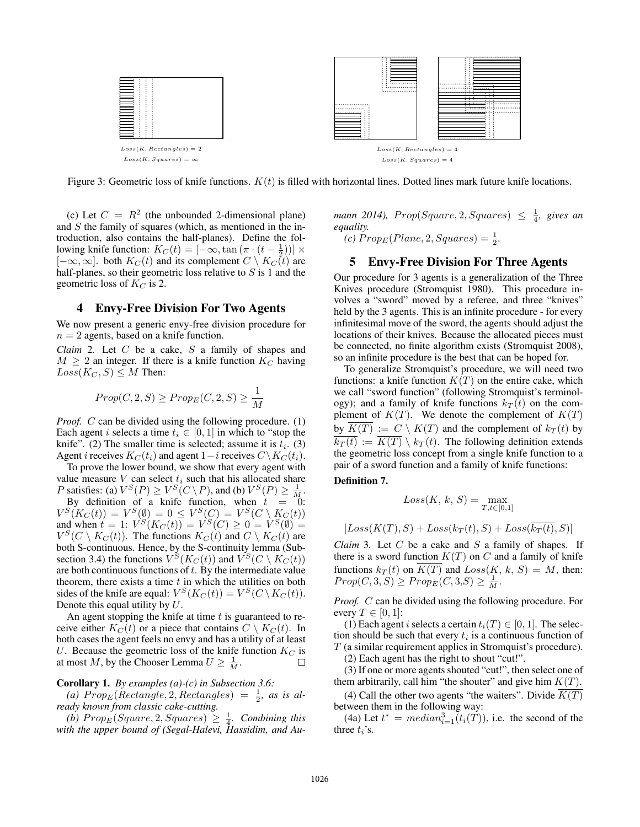

Figure 3: Geometric loss of knife functions.  $K(t)$  is filled with horizontal lines. Dotted lines mark future knife locations.

(c) Let  $C = R^2$  (the unbounded 2-dimensional plane) and  $S$  the family of squares (which, as mentioned in the introduction, also contains the half-planes). Define the following knife function:  $K_C(t) = [-\infty, \tan(\pi \cdot (t - \frac{1}{2}))] \times$  $[-\infty, \infty]$ . both  $K_C(t)$  and its complement  $C \setminus K_C(t)$  are half-planes, so their geometric loss relative to  $S$  is 1 and the geometric loss of  $K_C$  is 2.

### 4 Envy-Free Division For Two Agents

We now present a generic envy-free division procedure for  $n = 2$  agents, based on a knife function.

*Claim* 2*.* Let C be a cake, S a family of shapes and  $M \geq 2$  an integer. If there is a knife function  $K_C$  having  $Loss(K_C, S) \leq M$  Then:

$$
Prop(C, 2, S) \ge Prop_E(C, 2, S) \ge \frac{1}{M}
$$

*Proof.* C can be divided using the following procedure. (1) Each agent *i* selects a time  $t_i \in [0, 1]$  in which to "stop the knife". (2) The smaller time is selected; assume it is  $t_i$ . (3) Agent *i* receives  $K_C(t_i)$  and agent 1−*i* receives  $C\setminus K_C(t_i)$ .

To prove the lower bound, we show that every agent with value measure V can select  $t_i$  such that his allocated share *P* satisfies: (a)  $V^S(P) \geq V^S(C \setminus P)$ , and (b)  $V^S(P) \geq \frac{1}{M}$ .

By definition of a knife function, when  $t = 0$ :  $V^{S}(K_{C}(t)) = V^{S}(\emptyset) = 0 \leq V^{S}(C) = V^{S}(C \setminus K_{C}(t))$ and when  $t = 1$ :  $V^{S}(K_C(t)) = V^{S}(C) \ge 0 = V^{S}(\emptyset) =$  $V^S(C \setminus K_C(t))$ . The functions  $K_C(t)$  and  $C \setminus K_C(t)$  are both S-continuous. Hence, by the S-continuity lemma (Subsection 3.4) the functions  $V^S(K_C(t))$  and  $V^S(C \setminus K_C(t))$ are both continuous functions of  $t$ . By the intermediate value theorem, there exists a time  $t$  in which the utilities on both sides of the knife are equal:  $V^S(K_C(t)) = V^S(C \setminus K_C(t)).$ Denote this equal utility by U.

An agent stopping the knife at time  $t$  is guaranteed to receive either  $K_C(t)$  or a piece that contains  $C \setminus K_C(t)$ . In both cases the agent feels no envy and has a utility of at least U. Because the geometric loss of the knife function  $K_C$  is at most M, by the Chooser Lemma  $U \geq \frac{1}{M}$ .  $\Box$ 

### Corollary 1. *By examples (a)-(c) in Subsection 3.6:*

(a)  $Prop_E(Rectangle, 2, Rectangles) = \frac{1}{2}$ , as is al*ready known from classic cake-cutting.*

(b)  $Prop_E(Square, 2, Squares) \geq \frac{1}{4}$ . Combining this *with the upper bound of (Segal-Halevi, Hassidim, and Au-*

 $\textit{mann } 2014$ ),  $\textit{Prop}(Square, 2, Squares) \leq \frac{1}{4}$ , gives an *equality.*

 $(c)$   $Prop_E(Plane, 2, Squares) = \frac{1}{2}.$ 

# 5 Envy-Free Division For Three Agents

Our procedure for 3 agents is a generalization of the Three Knives procedure (Stromquist 1980). This procedure involves a "sword" moved by a referee, and three "knives" held by the 3 agents. This is an infinite procedure - for every infinitesimal move of the sword, the agents should adjust the locations of their knives. Because the allocated pieces must be connected, no finite algorithm exists (Stromquist 2008), so an infinite procedure is the best that can be hoped for.

To generalize Stromquist's procedure, we will need two functions: a knife function  $K(T)$  on the entire cake, which we call "sword function" (following Stromquist's terminology); and a family of knife functions  $k_T(t)$  on the complement of  $K(T)$ . We denote the complement of  $K(T)$ by  $K(T) := C \setminus K(T)$  and the complement of  $k_T(t)$  by  $\overline{k_T(t)} := \overline{K(T)} \setminus k_T(t)$ . The following definition extends the geometric loss concept from a single knife function to a pair of a sword function and a family of knife functions:

# Definition 7.

$$
Loss(K, k, S) = \max_{T, t \in [0, 1]}
$$

$$
[Loss(K(T), S) + Loss(k_T(t), S) + Loss(\overline{k_T(t)}, S)]
$$

*Claim* 3. Let  $C$  be a cake and  $S$  a family of shapes. If there is a sword function  $K(T)$  on C and a family of knife functions  $k_T(t)$  on  $K(T)$  and  $Loss(K, k, S) = M$ , then:  $Prop(C, 3, S) \geq Prop_E(C, 3, S) \geq \frac{1}{M}.$ 

*Proof.* C can be divided using the following procedure. For every  $T \in [0, 1]$ :

(1) Each agent i selects a certain  $t_i(T) \in [0, 1]$ . The selection should be such that every  $t_i$  is a continuous function of T (a similar requirement applies in Stromquist's procedure).

(2) Each agent has the right to shout "cut!".

(3) If one or more agents shouted "cut!", then select one of them arbitrarily, call him "the shouter" and give him  $K(T)$ .

(4) Call the other two agents "the waiters". Divide  $\overline{K(T)}$ between them in the following way:

(4a) Let  $t^* = \text{median}_{i=1}^3(t_i(T))$ , i.e. the second of the three  $t_i$ 's.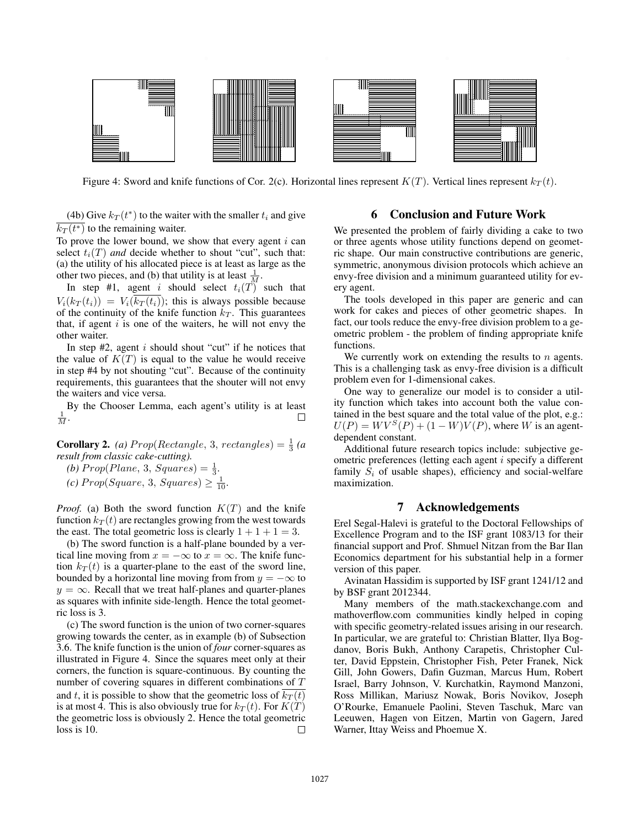

Figure 4: Sword and knife functions of Cor. 2(c). Horizontal lines represent  $K(T)$ . Vertical lines represent  $k_T(t)$ .

(4b) Give  $k_T(t^*)$  to the waiter with the smaller  $t_i$  and give  $k_T(t^*)$  to the remaining waiter.

To prove the lower bound, we show that every agent  $i$  can select  $t_i(T)$  *and* decide whether to shout "cut", such that: (a) the utility of his allocated piece is at least as large as the other two pieces, and (b) that utility is at least  $\frac{1}{M}$ .

In step #1, agent i should select  $t_i(T)$  such that  $V_i(k_T(t_i)) = V_i(\overline{k_T(t_i)})$ ; this is always possible because of the continuity of the knife function  $k_T$ . This guarantees that, if agent  $i$  is one of the waiters, he will not envy the other waiter.

In step  $#2$ , agent i should shout "cut" if he notices that the value of  $K(T)$  is equal to the value he would receive in step #4 by not shouting "cut". Because of the continuity requirements, this guarantees that the shouter will not envy the waiters and vice versa.

By the Chooser Lemma, each agent's utility is at least  $\frac{1}{M}$ .  $\Box$ 

**Corollary 2.** *(a)*  $Prop(Rectangle, 3, rectangles) = \frac{1}{3}$  *(a) result from classic cake-cutting).*

(b)  $Prop(Plane, 3, Squares) = \frac{1}{3}.$ 

 $(c) Prop(Square, 3, Squares) \geq \frac{1}{10}$ .

*Proof.* (a) Both the sword function  $K(T)$  and the knife function  $k_T (t)$  are rectangles growing from the west towards the east. The total geometric loss is clearly  $1 + 1 + 1 = 3$ .

(b) The sword function is a half-plane bounded by a vertical line moving from  $x = -\infty$  to  $x = \infty$ . The knife function  $k_T(t)$  is a quarter-plane to the east of the sword line, bounded by a horizontal line moving from from  $y = -\infty$  to  $y = \infty$ . Recall that we treat half-planes and quarter-planes as squares with infinite side-length. Hence the total geometric loss is 3.

(c) The sword function is the union of two corner-squares growing towards the center, as in example (b) of Subsection 3.6. The knife function is the union of *four* corner-squares as illustrated in Figure 4. Since the squares meet only at their corners, the function is square-continuous. By counting the number of covering squares in different combinations of T and t, it is possible to show that the geometric loss of  $k_T(t)$ is at most 4. This is also obviously true for  $k_T(t)$ . For  $K(T)$ the geometric loss is obviously 2. Hence the total geometric loss is 10. П

# 6 Conclusion and Future Work

We presented the problem of fairly dividing a cake to two or three agents whose utility functions depend on geometric shape. Our main constructive contributions are generic, symmetric, anonymous division protocols which achieve an envy-free division and a minimum guaranteed utility for every agent.

The tools developed in this paper are generic and can work for cakes and pieces of other geometric shapes. In fact, our tools reduce the envy-free division problem to a geometric problem - the problem of finding appropriate knife functions.

We currently work on extending the results to  $n$  agents. This is a challenging task as envy-free division is a difficult problem even for 1-dimensional cakes.

One way to generalize our model is to consider a utility function which takes into account both the value contained in the best square and the total value of the plot, e.g.:  $U(P) = W V^{S}(P) + (1 - W) V(P)$ , where W is an agentdependent constant.

Additional future research topics include: subjective geometric preferences (letting each agent i specify a different family  $S_i$  of usable shapes), efficiency and social-welfare maximization.

# 7 Acknowledgements

Erel Segal-Halevi is grateful to the Doctoral Fellowships of Excellence Program and to the ISF grant 1083/13 for their financial support and Prof. Shmuel Nitzan from the Bar Ilan Economics department for his substantial help in a former version of this paper.

Avinatan Hassidim is supported by ISF grant 1241/12 and by BSF grant 2012344.

Many members of the math.stackexchange.com and mathoverflow.com communities kindly helped in coping with specific geometry-related issues arising in our research. In particular, we are grateful to: Christian Blatter, Ilya Bogdanov, Boris Bukh, Anthony Carapetis, Christopher Culter, David Eppstein, Christopher Fish, Peter Franek, Nick Gill, John Gowers, Dafin Guzman, Marcus Hum, Robert Israel, Barry Johnson, V. Kurchatkin, Raymond Manzoni, Ross Millikan, Mariusz Nowak, Boris Novikov, Joseph O'Rourke, Emanuele Paolini, Steven Taschuk, Marc van Leeuwen, Hagen von Eitzen, Martin von Gagern, Jared Warner, Ittay Weiss and Phoemue X.